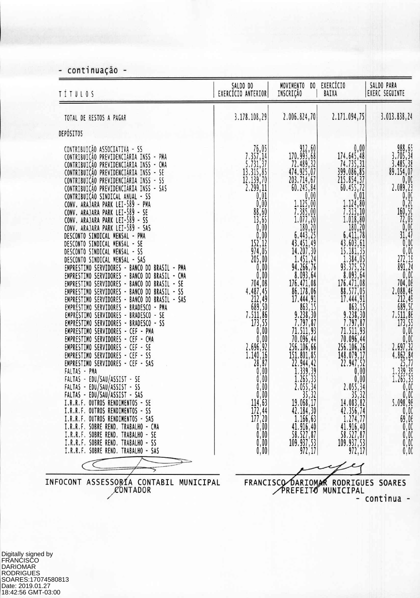**- continuação -**

| <b>TÍTULOS</b>                                                                                                                                                                                                                                                                                                                                                                                                                                                                                                                                                                                                                                                                                                                                                                                                                                                                                                                                                                                                                                                                                                                                                                                                                                                                                                                                                                                                                                                                                           | SALDO DO<br>EXERCÍCIO ANTERIOR                                                                     | MOVIMENTO<br>DO<br>INSCRIÇÃO                                                                                                                                                                                                                                                                                                                                                                                                                                                                                                                                                    | EXERCÍCIO<br>BAIXA                                                                                                                                                                                                                                                                                                                                                                                                                                                                                                                                                                                                                              | SALDO PARA<br>EXERC SEGUINTE                                                                                                                                                                                                                                                                                                            |
|----------------------------------------------------------------------------------------------------------------------------------------------------------------------------------------------------------------------------------------------------------------------------------------------------------------------------------------------------------------------------------------------------------------------------------------------------------------------------------------------------------------------------------------------------------------------------------------------------------------------------------------------------------------------------------------------------------------------------------------------------------------------------------------------------------------------------------------------------------------------------------------------------------------------------------------------------------------------------------------------------------------------------------------------------------------------------------------------------------------------------------------------------------------------------------------------------------------------------------------------------------------------------------------------------------------------------------------------------------------------------------------------------------------------------------------------------------------------------------------------------------|----------------------------------------------------------------------------------------------------|---------------------------------------------------------------------------------------------------------------------------------------------------------------------------------------------------------------------------------------------------------------------------------------------------------------------------------------------------------------------------------------------------------------------------------------------------------------------------------------------------------------------------------------------------------------------------------|-------------------------------------------------------------------------------------------------------------------------------------------------------------------------------------------------------------------------------------------------------------------------------------------------------------------------------------------------------------------------------------------------------------------------------------------------------------------------------------------------------------------------------------------------------------------------------------------------------------------------------------------------|-----------------------------------------------------------------------------------------------------------------------------------------------------------------------------------------------------------------------------------------------------------------------------------------------------------------------------------------|
| TOTAL DE RESTOS A PAGAR                                                                                                                                                                                                                                                                                                                                                                                                                                                                                                                                                                                                                                                                                                                                                                                                                                                                                                                                                                                                                                                                                                                                                                                                                                                                                                                                                                                                                                                                                  | 3.178.108,29                                                                                       | 2.006.824,70                                                                                                                                                                                                                                                                                                                                                                                                                                                                                                                                                                    | 2.171.094,75                                                                                                                                                                                                                                                                                                                                                                                                                                                                                                                                                                                                                                    | 3.013.838,24                                                                                                                                                                                                                                                                                                                            |
| DEPÓSITOS                                                                                                                                                                                                                                                                                                                                                                                                                                                                                                                                                                                                                                                                                                                                                                                                                                                                                                                                                                                                                                                                                                                                                                                                                                                                                                                                                                                                                                                                                                |                                                                                                    |                                                                                                                                                                                                                                                                                                                                                                                                                                                                                                                                                                                 |                                                                                                                                                                                                                                                                                                                                                                                                                                                                                                                                                                                                                                                 |                                                                                                                                                                                                                                                                                                                                         |
| CONTRIBUIÇÃO ASSOCIATIVA - SS<br>CONTRIBUIÇÃO PREVIDENCIÁRIA INSS - PMA<br>CONTRIBUIÇÃO PREVIDENCIÁRIA INSS - CMA<br>CONTRIBUIÇÃO PREVIDENCIÁRIA INSS - SE<br>CONTRIBUIÇÃO PREVIDENCIÁRIA INSS<br>$-55$<br>CONTRIBUIÇÃO PREVIDENCIÁRIA INSS - SAS<br>CONTRIBUIÇÃO SINDICAL ANUAL - SS<br>CONV. ARAJARA PARK LEI-589 - PMA<br>CONV. ARAJARA PARK LEI-589<br>$-5E$<br>CONV. ARAJARA PARK LEI-589<br>$-55$<br>CONV. ARAJARA PARK LEI-589 - SAS<br>DESCONTO SINDICAL MENSAL - PMA<br>DESCONTO SINDICAL MENSAL - SE<br>DESCONTO SINDICAL MENSAL - SS<br>DESCONTO SINDICAL MENSAL - SAS<br>EMPRESTIMO SERVIDORES - BANCO DO BRASIL - PMA<br>EMPRESTIMO SERVIDORES - BANCO DO BRASIL - CMA<br>EMPRESTIMO SERVIDORES - BANCO DO BRASIL - SE<br>EMPRESTIMO SERVIDORES - BANCO DO BRASIL - SS<br>EMPRESTIMO SERVIDORES - BANCO DO BRASIL - SAS<br>EMPRÉSTIMO SERVIDORES - BRADESCO - PMA<br>EMPRÉSTIMO SERVIDORES - BRADESCO - SE<br>EMPRÉSTIMO SERVIDORES - BRADESCO - SS<br>EMPRESTIMO SERVIDORES - CEF - PMA<br>EMPRESTIMO SERVIDORES - CEF - CMA<br>EMPRESTIMO SERVIDORES - CEF - SE<br>EMPRESTIMO SERVIDORES - CEF - SS<br>EMPRESTIMO SERVIDORES - CEF - SAS<br>FALTAS - PMA<br>FALTAS - EDU/SAU/ASSIST - SE<br>FALTAS - EDU/SAU/ASSIST - SS<br>FALTAS - EDU/SAU/ASSIST - SAS<br>I.R.R.F. OUTROS RENDIMENTOS - SE<br>I.R.R.F. OUTROS RENDIMENTOS - SS<br>I.R.R.F. OUTROS RENDIMENTOS - SAS<br>I.R.R.F. SOBRE REND. TRABALHO - CMA<br>I.R.R.F. SOBRE REND. TRABALHO - SE<br>I.R.R.F. SOBRE REND. TRABALHO - SS | $\begin{array}{c} 76,05 \\ 7.357,14 \\ 5.731,37 \\ 13.315,85 \\ 12.139,70 \\ 2.299,11 \end{array}$ | $\begin{smallmatrix} & 912, 60\\ 70.993, 68\\ 72.489, 32\\ 474.925, 07\\ 203.714, 67\\ 203.714, 67\\ 0.245, 84\\ 0.00\\ 1.125, 00\\ 1.235, 00\\ 1.077, 20\\ 180, 20\\ 6.443, 25\\ 6.443, 25\\ 1.451, 24\\ 14.207, 30\\ 14.51, 24\\ 14.207, 30\\ 14.266, 76\\ 8$<br>863, 15<br>9. 238, 30<br>7. 797, 87<br>71. 511, 93<br>70. 096, 44<br>256. 106, 66<br>151. 801, 85<br>22. 944, 42<br>1. 339, 39<br>1. 265, 33<br>2. 055, 33<br>2. 055, 33<br>35, 32<br>19.068,17<br>$42.184, 30$<br>$1.166, 63$<br>$41.916, 40$<br>$58.527, 87$<br>$\left  \frac{109.937,53}{972,17} \right $ | 0,00<br>174.645,48<br>74.735,31<br>399.086,85<br>215.854,37<br>60.455,72<br>0,01<br>$\frac{1.124, 80}{7.313, 10}$<br>$1.018, 80$<br>$180, 20$<br>$6.411, 78$<br>$43.603, 61$<br>$15.181, 35$<br>$1.384, 05$<br>$93.375, 52$<br>$8.093, 64$<br>$176.471, 08$<br>88.577,05<br>17.444,91<br>$\begin{array}{r} 663,15 \\ 9.238,30 \\ 7.797,87 \\ 71.511,93 \\ 70.096,44 \\ \end{array}$<br>$256.106, 26$<br>$148.079, 17$<br>$22.947, 52$<br>$0, 00$<br>$0, 00$<br>$0, 00$<br>$\left[\begin{array}{ccc} 2.055, 34 \\ 35, 32 \end{array}\right]$<br>14.083,82<br>$42.356, 74$<br>$1.274, 77$<br>$41.916, 40$<br>$58.527, 87$<br>109.937,53<br>972,17 | 988,65<br>3.705,34<br>3.485,38<br>89.154,07<br>2.089,23<br>0,000<br>0,200<br>0,200<br>0,200<br>0,000<br>0,000<br>160,50<br>0,000<br>31,47<br>0,000<br>31,47<br>0,000<br>272,12<br>0,000<br>272,12<br>0,000<br>272,12<br>0,000<br>272,12<br>0,000<br>273,55<br>2004,000<br>273,55<br>2004,000<br>273,55<br>2007,32<br>2.55<br>2.55<br>2. |

Digitally signed by FRANCISCO DARIOMAR RODRIGUES SOARES:17074580813 Date: 2019.01.27 18:42:56 GMT-03:00